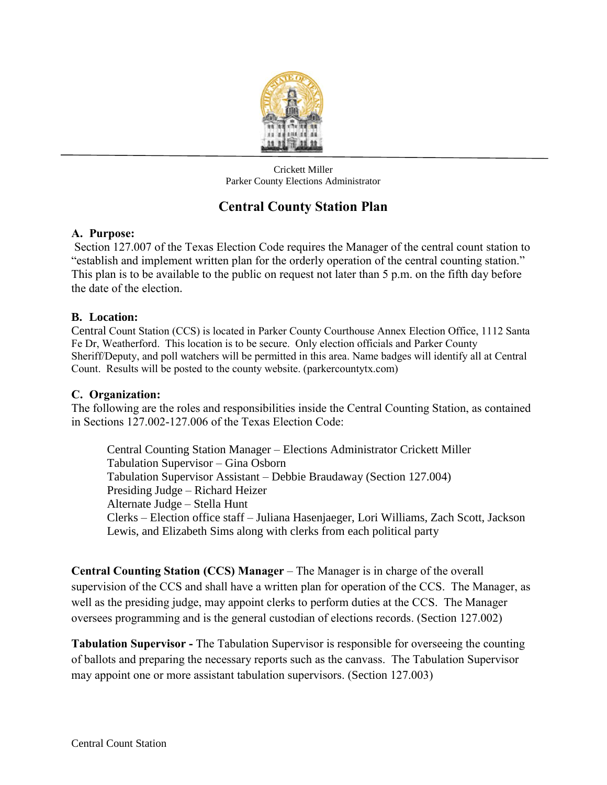

Crickett Miller Parker County Elections Administrator

# **Central County Station Plan**

## **A. Purpose:**

Section 127.007 of the Texas Election Code requires the Manager of the central count station to "establish and implement written plan for the orderly operation of the central counting station." This plan is to be available to the public on request not later than 5 p.m. on the fifth day before the date of the election.

## **B. Location:**

Central Count Station (CCS) is located in Parker County Courthouse Annex Election Office, 1112 Santa Fe Dr, Weatherford. This location is to be secure. Only election officials and Parker County Sheriff/Deputy, and poll watchers will be permitted in this area. Name badges will identify all at Central Count. Results will be posted to the county website. (parkercountytx.com)

## **C. Organization:**

The following are the roles and responsibilities inside the Central Counting Station, as contained in Sections 127.002-127.006 of the Texas Election Code:

Central Counting Station Manager – Elections Administrator Crickett Miller Tabulation Supervisor – Gina Osborn Tabulation Supervisor Assistant – Debbie Braudaway (Section 127.004) Presiding Judge – Richard Heizer Alternate Judge – Stella Hunt Clerks – Election office staff – Juliana Hasenjaeger, Lori Williams, Zach Scott, Jackson Lewis, and Elizabeth Sims along with clerks from each political party

**Central Counting Station (CCS) Manager** – The Manager is in charge of the overall supervision of the CCS and shall have a written plan for operation of the CCS. The Manager, as well as the presiding judge, may appoint clerks to perform duties at the CCS. The Manager oversees programming and is the general custodian of elections records. (Section 127.002)

**Tabulation Supervisor -** The Tabulation Supervisor is responsible for overseeing the counting of ballots and preparing the necessary reports such as the canvass. The Tabulation Supervisor may appoint one or more assistant tabulation supervisors. (Section 127.003)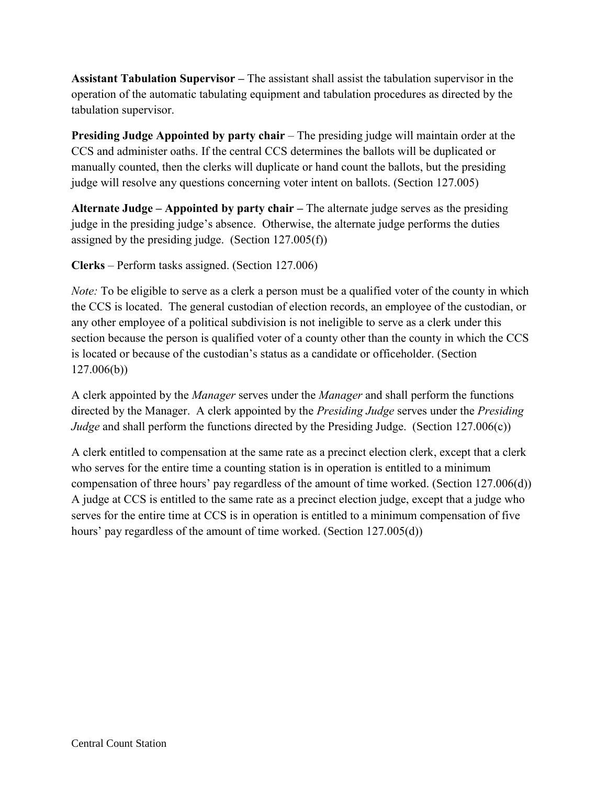**Assistant Tabulation Supervisor –** The assistant shall assist the tabulation supervisor in the operation of the automatic tabulating equipment and tabulation procedures as directed by the tabulation supervisor.

**Presiding Judge Appointed by party chair** – The presiding judge will maintain order at the CCS and administer oaths. If the central CCS determines the ballots will be duplicated or manually counted, then the clerks will duplicate or hand count the ballots, but the presiding judge will resolve any questions concerning voter intent on ballots. (Section 127.005)

**Alternate Judge – Appointed by party chair –** The alternate judge serves as the presiding judge in the presiding judge's absence. Otherwise, the alternate judge performs the duties assigned by the presiding judge. (Section 127.005(f))

**Clerks** – Perform tasks assigned. (Section 127.006)

*Note:* To be eligible to serve as a clerk a person must be a qualified voter of the county in which the CCS is located. The general custodian of election records, an employee of the custodian, or any other employee of a political subdivision is not ineligible to serve as a clerk under this section because the person is qualified voter of a county other than the county in which the CCS is located or because of the custodian's status as a candidate or officeholder. (Section 127.006(b))

A clerk appointed by the *Manager* serves under the *Manager* and shall perform the functions directed by the Manager. A clerk appointed by the *Presiding Judge* serves under the *Presiding Judge* and shall perform the functions directed by the Presiding Judge. (Section 127.006(c))

A clerk entitled to compensation at the same rate as a precinct election clerk, except that a clerk who serves for the entire time a counting station is in operation is entitled to a minimum compensation of three hours' pay regardless of the amount of time worked. (Section 127.006(d)) A judge at CCS is entitled to the same rate as a precinct election judge, except that a judge who serves for the entire time at CCS is in operation is entitled to a minimum compensation of five hours' pay regardless of the amount of time worked. (Section 127.005(d))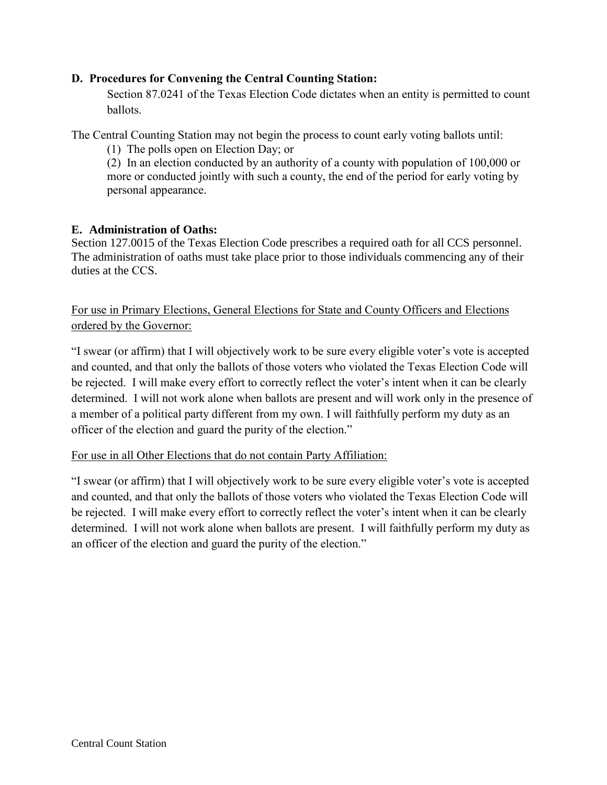## **D. Procedures for Convening the Central Counting Station:**

Section 87.0241 of the Texas Election Code dictates when an entity is permitted to count ballots.

The Central Counting Station may not begin the process to count early voting ballots until:

(1) The polls open on Election Day; or

(2) In an election conducted by an authority of a county with population of 100,000 or more or conducted jointly with such a county, the end of the period for early voting by personal appearance.

#### **E. Administration of Oaths:**

Section 127.0015 of the Texas Election Code prescribes a required oath for all CCS personnel. The administration of oaths must take place prior to those individuals commencing any of their duties at the CCS.

# For use in Primary Elections, General Elections for State and County Officers and Elections ordered by the Governor:

"I swear (or affirm) that I will objectively work to be sure every eligible voter's vote is accepted and counted, and that only the ballots of those voters who violated the Texas Election Code will be rejected. I will make every effort to correctly reflect the voter's intent when it can be clearly determined. I will not work alone when ballots are present and will work only in the presence of a member of a political party different from my own. I will faithfully perform my duty as an officer of the election and guard the purity of the election."

## For use in all Other Elections that do not contain Party Affiliation:

"I swear (or affirm) that I will objectively work to be sure every eligible voter's vote is accepted and counted, and that only the ballots of those voters who violated the Texas Election Code will be rejected. I will make every effort to correctly reflect the voter's intent when it can be clearly determined. I will not work alone when ballots are present. I will faithfully perform my duty as an officer of the election and guard the purity of the election."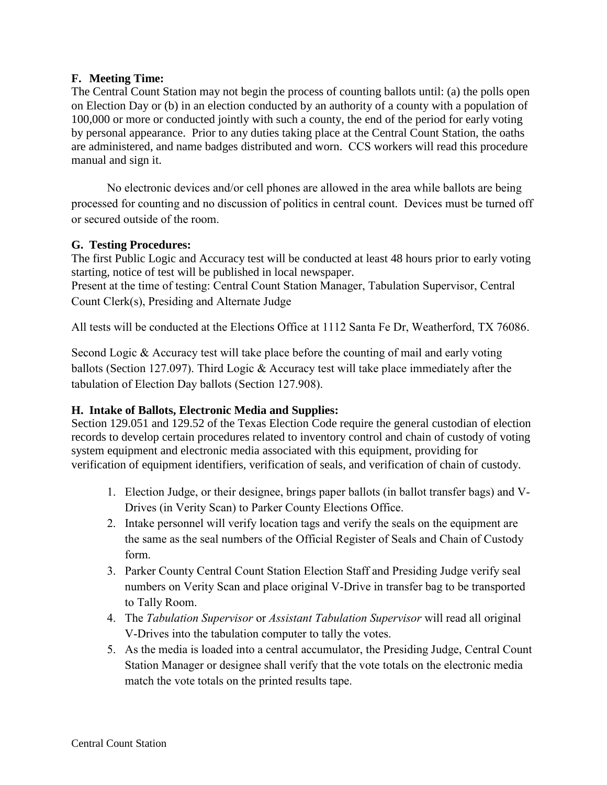#### **F. Meeting Time:**

The Central Count Station may not begin the process of counting ballots until: (a) the polls open on Election Day or (b) in an election conducted by an authority of a county with a population of 100,000 or more or conducted jointly with such a county, the end of the period for early voting by personal appearance. Prior to any duties taking place at the Central Count Station, the oaths are administered, and name badges distributed and worn. CCS workers will read this procedure manual and sign it.

No electronic devices and/or cell phones are allowed in the area while ballots are being processed for counting and no discussion of politics in central count. Devices must be turned off or secured outside of the room.

#### **G. Testing Procedures:**

The first Public Logic and Accuracy test will be conducted at least 48 hours prior to early voting starting, notice of test will be published in local newspaper.

Present at the time of testing: Central Count Station Manager, Tabulation Supervisor, Central Count Clerk(s), Presiding and Alternate Judge

All tests will be conducted at the Elections Office at 1112 Santa Fe Dr, Weatherford, TX 76086.

Second Logic & Accuracy test will take place before the counting of mail and early voting ballots (Section 127.097). Third Logic & Accuracy test will take place immediately after the tabulation of Election Day ballots (Section 127.908).

#### **H. Intake of Ballots, Electronic Media and Supplies:**

Section 129.051 and 129.52 of the Texas Election Code require the general custodian of election records to develop certain procedures related to inventory control and chain of custody of voting system equipment and electronic media associated with this equipment, providing for verification of equipment identifiers, verification of seals, and verification of chain of custody.

- 1. Election Judge, or their designee, brings paper ballots (in ballot transfer bags) and V-Drives (in Verity Scan) to Parker County Elections Office.
- 2. Intake personnel will verify location tags and verify the seals on the equipment are the same as the seal numbers of the Official Register of Seals and Chain of Custody form.
- 3. Parker County Central Count Station Election Staff and Presiding Judge verify seal numbers on Verity Scan and place original V-Drive in transfer bag to be transported to Tally Room.
- 4. The *Tabulation Supervisor* or *Assistant Tabulation Supervisor* will read all original V-Drives into the tabulation computer to tally the votes.
- 5. As the media is loaded into a central accumulator, the Presiding Judge, Central Count Station Manager or designee shall verify that the vote totals on the electronic media match the vote totals on the printed results tape.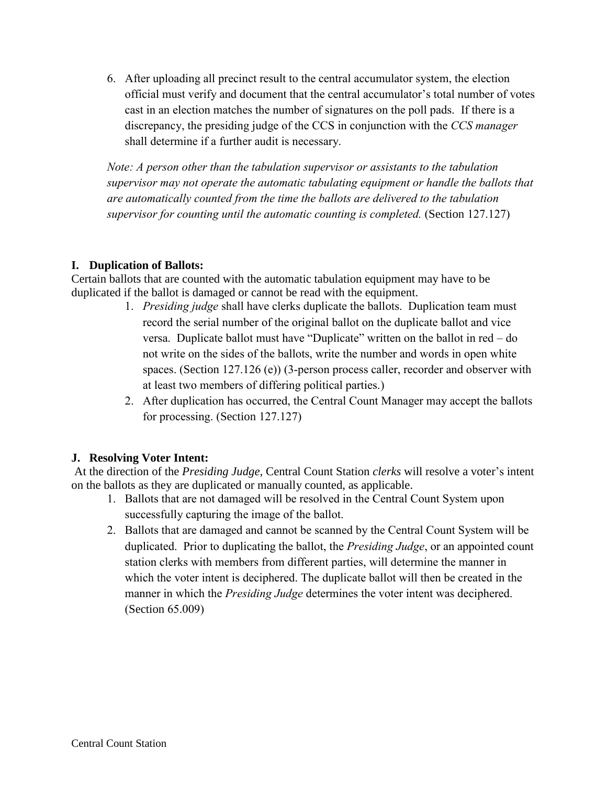6. After uploading all precinct result to the central accumulator system, the election official must verify and document that the central accumulator's total number of votes cast in an election matches the number of signatures on the poll pads. If there is a discrepancy, the presiding judge of the CCS in conjunction with the *CCS manager* shall determine if a further audit is necessary.

*Note: A person other than the tabulation supervisor or assistants to the tabulation supervisor may not operate the automatic tabulating equipment or handle the ballots that are automatically counted from the time the ballots are delivered to the tabulation supervisor for counting until the automatic counting is completed.* (Section 127.127)

#### **I. Duplication of Ballots:**

Certain ballots that are counted with the automatic tabulation equipment may have to be duplicated if the ballot is damaged or cannot be read with the equipment.

- 1. *Presiding judge* shall have clerks duplicate the ballots. Duplication team must record the serial number of the original ballot on the duplicate ballot and vice versa. Duplicate ballot must have "Duplicate" written on the ballot in red – do not write on the sides of the ballots, write the number and words in open white spaces. (Section 127.126 (e)) (3-person process caller, recorder and observer with at least two members of differing political parties.)
- 2. After duplication has occurred, the Central Count Manager may accept the ballots for processing. (Section 127.127)

#### **J. Resolving Voter Intent:**

At the direction of the *Presiding Judge,* Central Count Station *clerks* will resolve a voter's intent on the ballots as they are duplicated or manually counted, as applicable.

- 1. Ballots that are not damaged will be resolved in the Central Count System upon successfully capturing the image of the ballot.
- 2. Ballots that are damaged and cannot be scanned by the Central Count System will be duplicated. Prior to duplicating the ballot, the *Presiding Judge*, or an appointed count station clerks with members from different parties, will determine the manner in which the voter intent is deciphered. The duplicate ballot will then be created in the manner in which the *Presiding Judge* determines the voter intent was deciphered. (Section 65.009)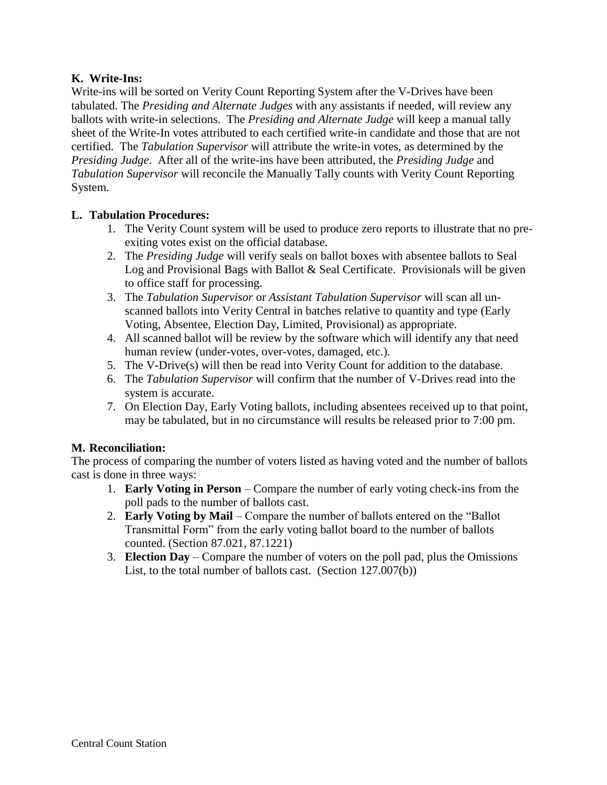## **K. Write-Ins:**

Write-ins will be sorted on Verity Count Reporting System after the V-Drives have been tabulated. The *Presiding and Alternate Judges* with any assistants if needed, will review any ballots with write-in selections. The *Presiding and Alternate Judge* will keep a manual tally sheet of the Write-In votes attributed to each certified write-in candidate and those that are not certified. The *Tabulation Supervisor* will attribute the write-in votes, as determined by the *Presiding Judge*. After all of the write-ins have been attributed, the *Presiding Judge* and *Tabulation Supervisor* will reconcile the Manually Tally counts with Verity Count Reporting System.

#### **L. Tabulation Procedures:**

- 1. The Verity Count system will be used to produce zero reports to illustrate that no preexiting votes exist on the official database.
- 2. The *Presiding Judge* will verify seals on ballot boxes with absentee ballots to Seal Log and Provisional Bags with Ballot & Seal Certificate. Provisionals will be given to office staff for processing.
- 3. The *Tabulation Supervisor* or *Assistant Tabulation Supervisor* will scan all unscanned ballots into Verity Central in batches relative to quantity and type (Early Voting, Absentee, Election Day, Limited, Provisional) as appropriate.
- 4. All scanned ballot will be review by the software which will identify any that need human review (under-votes, over-votes, damaged, etc.).
- 5. The V-Drive(s) will then be read into Verity Count for addition to the database.
- 6. The *Tabulation Supervisor* will confirm that the number of V-Drives read into the system is accurate.
- 7. On Election Day, Early Voting ballots, including absentees received up to that point, may be tabulated, but in no circumstance will results be released prior to 7:00 pm.

#### **M. Reconciliation:**

The process of comparing the number of voters listed as having voted and the number of ballots cast is done in three ways:

- 1. **Early Voting in Person** Compare the number of early voting check-ins from the poll pads to the number of ballots cast.
- 2. **Early Voting by Mail** Compare the number of ballots entered on the "Ballot Transmittal Form" from the early voting ballot board to the number of ballots counted. (Section 87.021, 87.1221)
- 3. **Election Day** Compare the number of voters on the poll pad, plus the Omissions List, to the total number of ballots cast. (Section 127.007(b))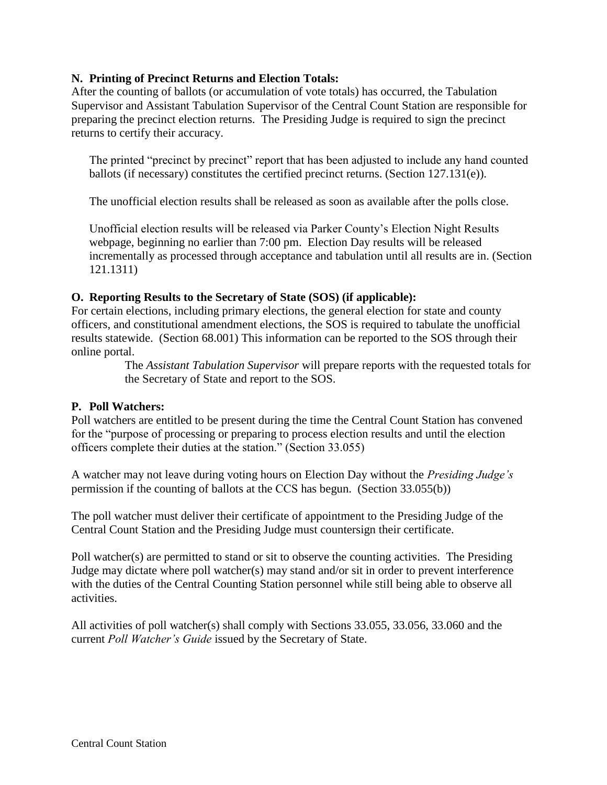#### **N. Printing of Precinct Returns and Election Totals:**

After the counting of ballots (or accumulation of vote totals) has occurred, the Tabulation Supervisor and Assistant Tabulation Supervisor of the Central Count Station are responsible for preparing the precinct election returns. The Presiding Judge is required to sign the precinct returns to certify their accuracy.

The printed "precinct by precinct" report that has been adjusted to include any hand counted ballots (if necessary) constitutes the certified precinct returns. (Section 127.131(e)).

The unofficial election results shall be released as soon as available after the polls close.

Unofficial election results will be released via Parker County's Election Night Results webpage, beginning no earlier than 7:00 pm. Election Day results will be released incrementally as processed through acceptance and tabulation until all results are in. (Section 121.1311)

#### **O. Reporting Results to the Secretary of State (SOS) (if applicable):**

For certain elections, including primary elections, the general election for state and county officers, and constitutional amendment elections, the SOS is required to tabulate the unofficial results statewide. (Section 68.001) This information can be reported to the SOS through their online portal.

> The *Assistant Tabulation Supervisor* will prepare reports with the requested totals for the Secretary of State and report to the SOS.

#### **P. Poll Watchers:**

Poll watchers are entitled to be present during the time the Central Count Station has convened for the "purpose of processing or preparing to process election results and until the election officers complete their duties at the station." (Section 33.055)

A watcher may not leave during voting hours on Election Day without the *Presiding Judge's* permission if the counting of ballots at the CCS has begun. (Section 33.055(b))

The poll watcher must deliver their certificate of appointment to the Presiding Judge of the Central Count Station and the Presiding Judge must countersign their certificate.

Poll watcher(s) are permitted to stand or sit to observe the counting activities. The Presiding Judge may dictate where poll watcher(s) may stand and/or sit in order to prevent interference with the duties of the Central Counting Station personnel while still being able to observe all activities.

All activities of poll watcher(s) shall comply with Sections 33.055, 33.056, 33.060 and the current *Poll Watcher's Guide* issued by the Secretary of State.